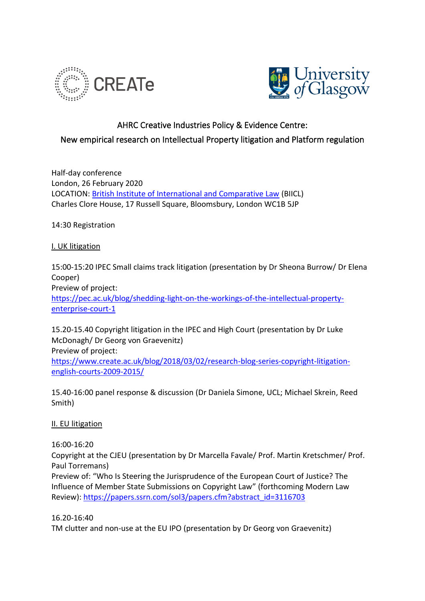



## AHRC Creative Industries Policy & Evidence Centre:

## New empirical research on Intellectual Property litigation and Platform regulation

Half-day conference London, 26 February 2020 LOCATION: [British Institute of International and Comparative Law](https://www.biicl.org/) (BIICL) Charles Clore House, 17 Russell Square, Bloomsbury, London WC1B 5JP

14:30 Registration

## I. UK litigation

15:00-15:20 IPEC Small claims track litigation (presentation by Dr Sheona Burrow/ Dr Elena Cooper) Preview of project: [https://pec.ac.uk/blog/shedding-light-on-the-workings-of-the-intellectual-property](https://pec.ac.uk/blog/shedding-light-on-the-workings-of-the-intellectual-property-enterprise-court-1)[enterprise-court-1](https://pec.ac.uk/blog/shedding-light-on-the-workings-of-the-intellectual-property-enterprise-court-1)

15.20-15.40 Copyright litigation in the IPEC and High Court (presentation by Dr Luke McDonagh/ Dr Georg von Graevenitz) Preview of project: [https://www.create.ac.uk/blog/2018/03/02/research-blog-series-copyright-litigation](https://www.create.ac.uk/blog/2018/03/02/research-blog-series-copyright-litigation-english-courts-2009-2015/)[english-courts-2009-2015/](https://www.create.ac.uk/blog/2018/03/02/research-blog-series-copyright-litigation-english-courts-2009-2015/)

15.40-16:00 panel response & discussion (Dr Daniela Simone, UCL; Michael Skrein, Reed Smith)

## II. EU litigation

16:00-16:20

Copyright at the CJEU (presentation by Dr Marcella Favale/ Prof. Martin Kretschmer/ Prof. Paul Torremans)

Preview of: "Who Is Steering the Jurisprudence of the European Court of Justice? The Influence of Member State Submissions on Copyright Law" (forthcoming Modern Law Review): [https://papers.ssrn.com/sol3/papers.cfm?abstract\\_id=3116703](https://papers.ssrn.com/sol3/papers.cfm?abstract_id=3116703)

16.20-16:40

TM clutter and non-use at the EU IPO (presentation by Dr Georg von Graevenitz)